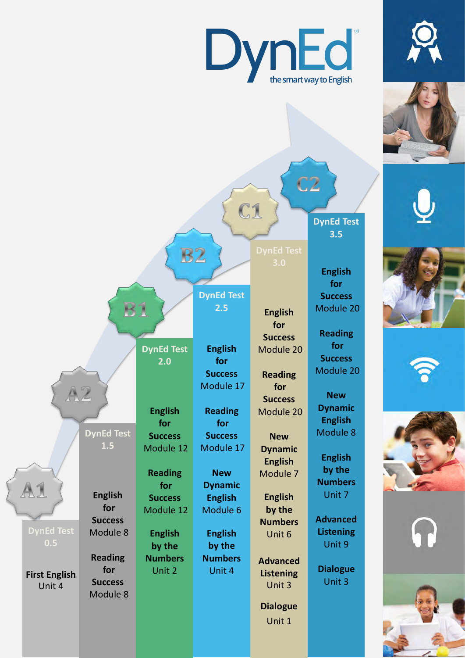

Unit 1